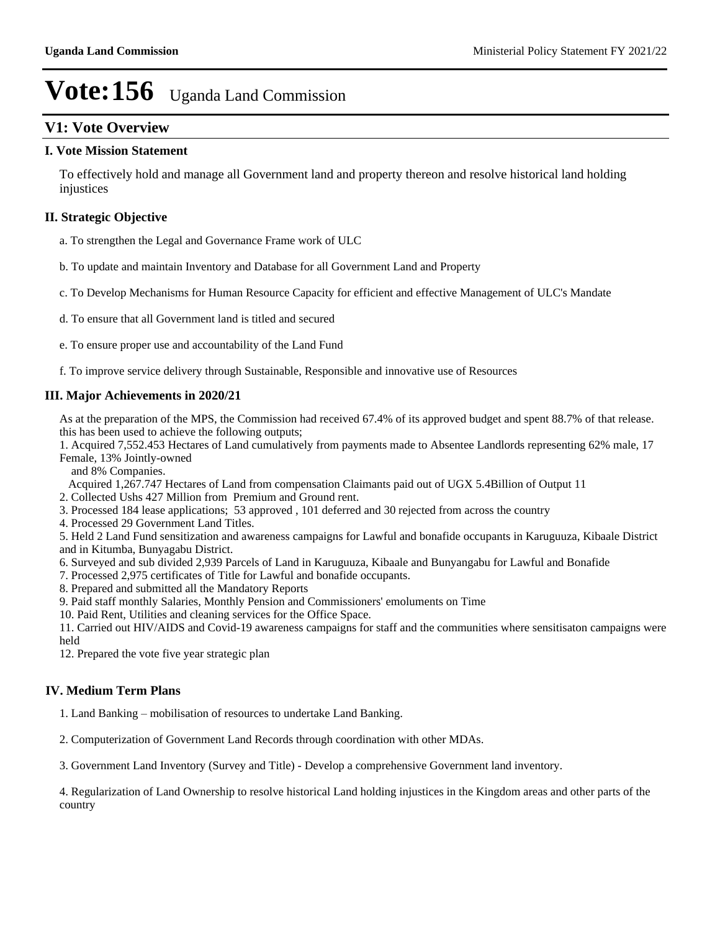## **V1: Vote Overview**

#### **I. Vote Mission Statement**

To effectively hold and manage all Government land and property thereon and resolve historical land holding injustices

### **II. Strategic Objective**

- a. To strengthen the Legal and Governance Frame work of ULC
- b. To update and maintain Inventory and Database for all Government Land and Property
- c. To Develop Mechanisms for Human Resource Capacity for efficient and effective Management of ULC's Mandate
- d. To ensure that all Government land is titled and secured
- e. To ensure proper use and accountability of the Land Fund
- f. To improve service delivery through Sustainable, Responsible and innovative use of Resources

### **III. Major Achievements in 2020/21**

As at the preparation of the MPS, the Commission had received 67.4% of its approved budget and spent 88.7% of that release. this has been used to achieve the following outputs;

1. Acquired 7,552.453 Hectares of Land cumulatively from payments made to Absentee Landlords representing 62% male, 17 Female, 13% Jointly-owned

and 8% Companies.

Acquired 1,267.747 Hectares of Land from compensation Claimants paid out of UGX 5.4Billion of Output 11

2. Collected Ushs 427 Million from Premium and Ground rent.

- 3. Processed 184 lease applications; 53 approved , 101 deferred and 30 rejected from across the country
- 4. Processed 29 Government Land Titles.

5. Held 2 Land Fund sensitization and awareness campaigns for Lawful and bonafide occupants in Karuguuza, Kibaale District and in Kitumba, Bunyagabu District.

- 6. Surveyed and sub divided 2,939 Parcels of Land in Karuguuza, Kibaale and Bunyangabu for Lawful and Bonafide
- 7. Processed 2,975 certificates of Title for Lawful and bonafide occupants.
- 8. Prepared and submitted all the Mandatory Reports
- 9. Paid staff monthly Salaries, Monthly Pension and Commissioners' emoluments on Time
- 10. Paid Rent, Utilities and cleaning services for the Office Space.
- 11. Carried out HIV/AIDS and Covid-19 awareness campaigns for staff and the communities where sensitisaton campaigns were held
- 12. Prepared the vote five year strategic plan

### **IV. Medium Term Plans**

- 1. Land Banking mobilisation of resources to undertake Land Banking.
- 2. Computerization of Government Land Records through coordination with other MDAs.

3. Government Land Inventory (Survey and Title) - Develop a comprehensive Government land inventory.

4. Regularization of Land Ownership to resolve historical Land holding injustices in the Kingdom areas and other parts of the country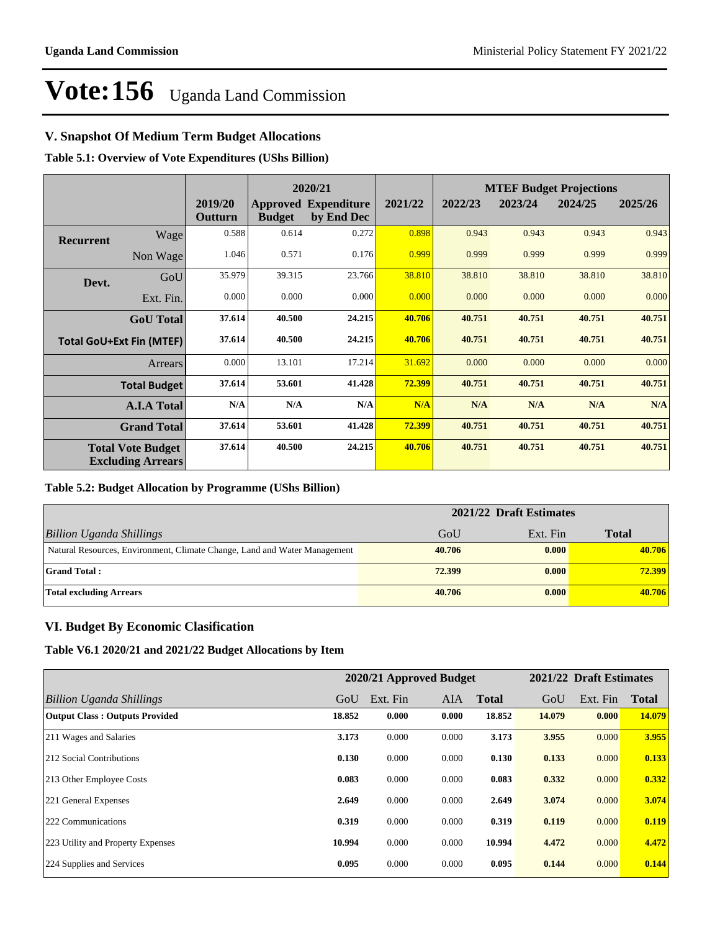## **V. Snapshot Of Medium Term Budget Allocations**

**Table 5.1: Overview of Vote Expenditures (UShs Billion)**

|                  |                                                      |                    | 2020/21       |                                           | <b>MTEF Budget Projections</b> |         |         |         |         |
|------------------|------------------------------------------------------|--------------------|---------------|-------------------------------------------|--------------------------------|---------|---------|---------|---------|
|                  |                                                      | 2019/20<br>Outturn | <b>Budget</b> | <b>Approved Expenditure</b><br>by End Dec | 2021/22                        | 2022/23 | 2023/24 | 2024/25 | 2025/26 |
| <b>Recurrent</b> | Wage                                                 | 0.588              | 0.614         | 0.272                                     | 0.898                          | 0.943   | 0.943   | 0.943   | 0.943   |
|                  | Non Wage                                             | 1.046              | 0.571         | 0.176                                     | 0.999                          | 0.999   | 0.999   | 0.999   | 0.999   |
| Devt.            | GoU                                                  | 35.979             | 39.315        | 23.766                                    | 38.810                         | 38.810  | 38.810  | 38.810  | 38.810  |
|                  | Ext. Fin.                                            | 0.000              | 0.000         | 0.000                                     | 0.000                          | 0.000   | 0.000   | 0.000   | 0.000   |
|                  | <b>GoU</b> Total                                     | 37.614             | 40.500        | 24.215                                    | 40.706                         | 40.751  | 40.751  | 40.751  | 40.751  |
|                  | <b>Total GoU+Ext Fin (MTEF)</b>                      | 37.614             | 40.500        | 24.215                                    | 40.706                         | 40.751  | 40.751  | 40.751  | 40.751  |
|                  | <b>Arrears</b>                                       | 0.000              | 13.101        | 17.214                                    | 31.692                         | 0.000   | 0.000   | 0.000   | 0.000   |
|                  | <b>Total Budget</b>                                  | 37.614             | 53.601        | 41.428                                    | 72.399                         | 40.751  | 40.751  | 40.751  | 40.751  |
|                  | <b>A.I.A Total</b>                                   | N/A                | N/A           | N/A                                       | N/A                            | N/A     | N/A     | N/A     | N/A     |
|                  | <b>Grand Total</b>                                   | 37.614             | 53.601        | 41.428                                    | 72.399                         | 40.751  | 40.751  | 40.751  | 40.751  |
|                  | <b>Total Vote Budget</b><br><b>Excluding Arrears</b> | 37.614             | 40.500        | 24.215                                    | 40.706                         | 40.751  | 40.751  | 40.751  | 40.751  |

#### **Table 5.2: Budget Allocation by Programme (UShs Billion)**

|                                                                           | 2021/22 Draft Estimates |          |              |
|---------------------------------------------------------------------------|-------------------------|----------|--------------|
| Billion Uganda Shillings                                                  | GoU                     | Ext. Fin | <b>Total</b> |
| Natural Resources, Environment, Climate Change, Land and Water Management | 40.706                  | 0.000    | 40.706       |
| <b>Grand Total:</b>                                                       | 72.399                  | 0.000    | 72.399       |
| Total excluding Arrears                                                   | 40.706                  | 0.000    | 40.706       |

### **VI. Budget By Economic Clasification**

**Table V6.1 2020/21 and 2021/22 Budget Allocations by Item**

|                                       |        | 2020/21 Approved Budget |            |              |        | 2021/22 Draft Estimates |              |
|---------------------------------------|--------|-------------------------|------------|--------------|--------|-------------------------|--------------|
| Billion Uganda Shillings              | GoU    | Ext. Fin                | <b>AIA</b> | <b>Total</b> | GoU    | Ext. Fin                | <b>Total</b> |
| <b>Output Class: Outputs Provided</b> | 18.852 | 0.000                   | 0.000      | 18.852       | 14.079 | 0.000                   | 14.079       |
| 211 Wages and Salaries                | 3.173  | 0.000                   | 0.000      | 3.173        | 3.955  | 0.000                   | 3.955        |
| 212 Social Contributions              | 0.130  | 0.000                   | 0.000      | 0.130        | 0.133  | 0.000                   | 0.133        |
| 213 Other Employee Costs              | 0.083  | 0.000                   | 0.000      | 0.083        | 0.332  | 0.000                   | 0.332        |
| 221 General Expenses                  | 2.649  | 0.000                   | 0.000      | 2.649        | 3.074  | 0.000                   | 3.074        |
| 222 Communications                    | 0.319  | 0.000                   | 0.000      | 0.319        | 0.119  | 0.000                   | 0.119        |
| 223 Utility and Property Expenses     | 10.994 | 0.000                   | 0.000      | 10.994       | 4.472  | 0.000                   | 4.472        |
| 224 Supplies and Services             | 0.095  | 0.000                   | 0.000      | 0.095        | 0.144  | 0.000                   | 0.144        |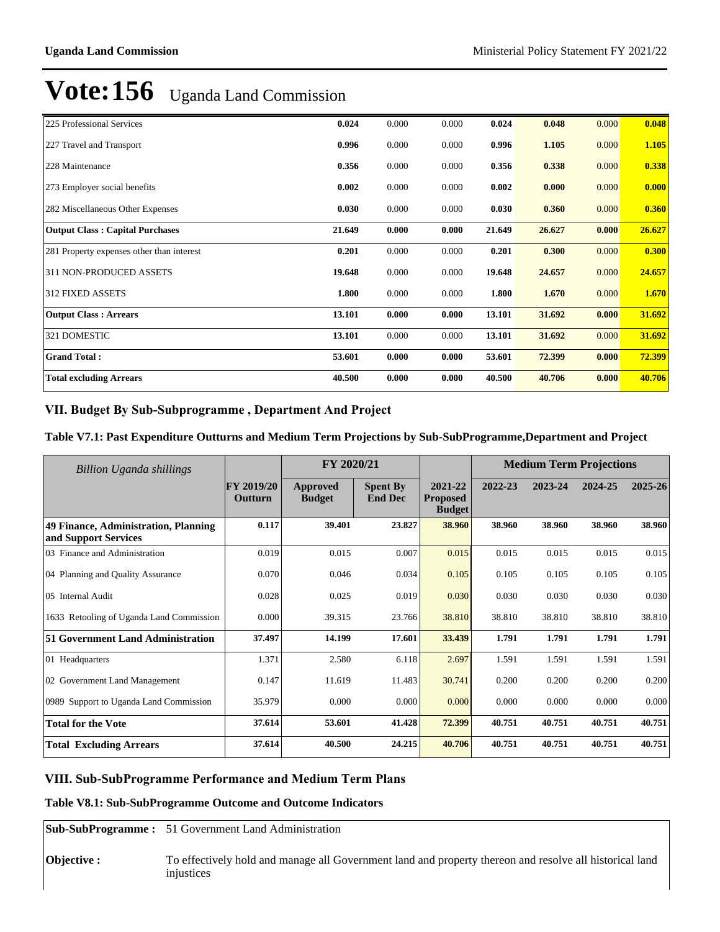| 225 Professional Services                 | 0.024  | 0.000 | 0.000 | 0.024  | 0.048  | 0.000 | 0.048  |
|-------------------------------------------|--------|-------|-------|--------|--------|-------|--------|
| 227 Travel and Transport                  | 0.996  | 0.000 | 0.000 | 0.996  | 1.105  | 0.000 | 1.105  |
| 228 Maintenance                           | 0.356  | 0.000 | 0.000 | 0.356  | 0.338  | 0.000 | 0.338  |
| 273 Employer social benefits              | 0.002  | 0.000 | 0.000 | 0.002  | 0.000  | 0.000 | 0.000  |
| 282 Miscellaneous Other Expenses          | 0.030  | 0.000 | 0.000 | 0.030  | 0.360  | 0.000 | 0.360  |
| <b>Output Class: Capital Purchases</b>    | 21.649 | 0.000 | 0.000 | 21.649 | 26.627 | 0.000 | 26.627 |
| 281 Property expenses other than interest | 0.201  | 0.000 | 0.000 | 0.201  | 0.300  | 0.000 | 0.300  |
| 311 NON-PRODUCED ASSETS                   | 19.648 | 0.000 | 0.000 | 19.648 | 24.657 | 0.000 | 24.657 |
| 312 FIXED ASSETS                          | 1.800  | 0.000 | 0.000 | 1.800  | 1.670  | 0.000 | 1.670  |
| <b>Output Class: Arrears</b>              | 13.101 | 0.000 | 0.000 | 13.101 | 31.692 | 0.000 | 31.692 |
| 321 DOMESTIC                              | 13.101 | 0.000 | 0.000 | 13.101 | 31.692 | 0.000 | 31.692 |
| <b>Grand Total:</b>                       | 53.601 | 0.000 | 0.000 | 53.601 | 72.399 | 0.000 | 72.399 |
| <b>Total excluding Arrears</b>            | 40.500 | 0.000 | 0.000 | 40.500 | 40.706 | 0.000 | 40.706 |

## VII. Budget By Sub-Subprogramme, Department And Project

## **Table V7.1: Past Expenditure Outturns and Medium Term Projections by Sub-SubProgramme,Department and Project**

| Billion Uganda shillings                                     |                       | FY 2020/21                |                                   |                                             |         | <b>Medium Term Projections</b> |         |         |
|--------------------------------------------------------------|-----------------------|---------------------------|-----------------------------------|---------------------------------------------|---------|--------------------------------|---------|---------|
|                                                              | FY 2019/20<br>Outturn | Approved<br><b>Budget</b> | <b>Spent By</b><br><b>End Dec</b> | 2021-22<br><b>Proposed</b><br><b>Budget</b> | 2022-23 | 2023-24                        | 2024-25 | 2025-26 |
| 49 Finance, Administration, Planning<br>and Support Services | 0.117                 | 39.401                    | 23.827                            | 38.960                                      | 38.960  | 38.960                         | 38.960  | 38.960  |
| 03 Finance and Administration                                | 0.019                 | 0.015                     | 0.007                             | 0.015                                       | 0.015   | 0.015                          | 0.015   | 0.015   |
| 04 Planning and Quality Assurance                            | 0.070                 | 0.046                     | 0.034                             | 0.105                                       | 0.105   | 0.105                          | 0.105   | 0.105   |
| 05 Internal Audit                                            | 0.028                 | 0.025                     | 0.019                             | 0.030                                       | 0.030   | 0.030                          | 0.030   | 0.030   |
| 1633 Retooling of Uganda Land Commission                     | 0.000                 | 39.315                    | 23.766                            | 38.810                                      | 38.810  | 38.810                         | 38.810  | 38.810  |
| 51 Government Land Administration                            | 37.497                | 14.199                    | 17.601                            | 33.439                                      | 1.791   | 1.791                          | 1.791   | 1.791   |
| 01 Headquarters                                              | 1.371                 | 2.580                     | 6.118                             | 2.697                                       | 1.591   | 1.591                          | 1.591   | 1.591   |
| 02 Government Land Management                                | 0.147                 | 11.619                    | 11.483                            | 30.741                                      | 0.200   | 0.200                          | 0.200   | 0.200   |
| 0989 Support to Uganda Land Commission                       | 35.979                | 0.000                     | 0.000                             | 0.000                                       | 0.000   | 0.000                          | 0.000   | 0.000   |
| <b>Total for the Vote</b>                                    | 37.614                | 53.601                    | 41.428                            | 72.399                                      | 40.751  | 40.751                         | 40.751  | 40.751  |
| <b>Total Excluding Arrears</b>                               | 37.614                | 40.500                    | 24.215                            | 40.706                                      | 40.751  | 40.751                         | 40.751  | 40.751  |

## **VIII. Sub-SubProgramme Performance and Medium Term Plans**

### **Table V8.1: Sub-SubProgramme Outcome and Outcome Indicators**

**Sub-SubProgramme :** 51 Government Land Administration

**Objective :** To effectively hold and manage all Government land and property thereon and resolve all historical land injustices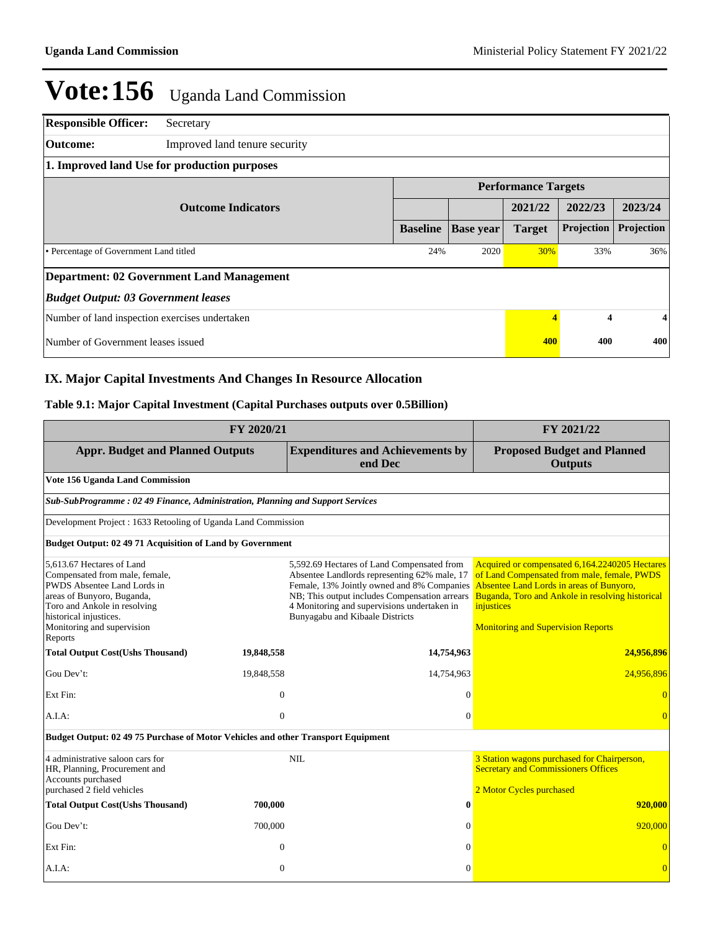| <b>Responsible Officer:</b>                    | Secretary                                        |                 |                  |                        |                            |            |  |  |
|------------------------------------------------|--------------------------------------------------|-----------------|------------------|------------------------|----------------------------|------------|--|--|
| Outcome:                                       | Improved land tenure security                    |                 |                  |                        |                            |            |  |  |
| 1. Improved land Use for production purposes   |                                                  |                 |                  |                        |                            |            |  |  |
|                                                |                                                  |                 |                  |                        | <b>Performance Targets</b> |            |  |  |
|                                                | <b>Outcome Indicators</b>                        |                 |                  | 2021/22                | 2022/23                    | 2023/24    |  |  |
|                                                |                                                  | <b>Baseline</b> | <b>Base year</b> | <b>Target</b>          | Projection                 | Projection |  |  |
| • Percentage of Government Land titled         |                                                  |                 | 2020             | 30%                    | 33%                        | 36%        |  |  |
|                                                | <b>Department: 02 Government Land Management</b> |                 |                  |                        |                            |            |  |  |
| <b>Budget Output: 03 Government leases</b>     |                                                  |                 |                  |                        |                            |            |  |  |
| Number of land inspection exercises undertaken |                                                  |                 |                  | $\boldsymbol{\Lambda}$ | 4                          | 4          |  |  |
| Number of Government leases issued             |                                                  |                 |                  | 400                    | 400                        | 400        |  |  |

## **IX. Major Capital Investments And Changes In Resource Allocation**

## **Table 9.1: Major Capital Investment (Capital Purchases outputs over 0.5Billion)**

|                                                                                                                                                                                                                             | FY 2021/22   |                                                                                                                                                                                                                                                                             |                                                                                                                                                                                                                                                          |  |  |  |  |  |
|-----------------------------------------------------------------------------------------------------------------------------------------------------------------------------------------------------------------------------|--------------|-----------------------------------------------------------------------------------------------------------------------------------------------------------------------------------------------------------------------------------------------------------------------------|----------------------------------------------------------------------------------------------------------------------------------------------------------------------------------------------------------------------------------------------------------|--|--|--|--|--|
| <b>Appr. Budget and Planned Outputs</b>                                                                                                                                                                                     |              | <b>Expenditures and Achievements by</b><br>end Dec                                                                                                                                                                                                                          | <b>Proposed Budget and Planned</b><br><b>Outputs</b>                                                                                                                                                                                                     |  |  |  |  |  |
| Vote 156 Uganda Land Commission                                                                                                                                                                                             |              |                                                                                                                                                                                                                                                                             |                                                                                                                                                                                                                                                          |  |  |  |  |  |
| Sub-SubProgramme: 02 49 Finance, Administration, Planning and Support Services                                                                                                                                              |              |                                                                                                                                                                                                                                                                             |                                                                                                                                                                                                                                                          |  |  |  |  |  |
| Development Project: 1633 Retooling of Uganda Land Commission                                                                                                                                                               |              |                                                                                                                                                                                                                                                                             |                                                                                                                                                                                                                                                          |  |  |  |  |  |
| <b>Budget Output: 02 49 71 Acquisition of Land by Government</b>                                                                                                                                                            |              |                                                                                                                                                                                                                                                                             |                                                                                                                                                                                                                                                          |  |  |  |  |  |
| 5,613.67 Hectares of Land<br>Compensated from male, female,<br>PWDS Absentee Land Lords in<br>areas of Bunyoro, Buganda,<br>Toro and Ankole in resolving<br>historical injustices.<br>Monitoring and supervision<br>Reports |              | 5,592.69 Hectares of Land Compensated from<br>Absentee Landlords representing 62% male, 17<br>Female, 13% Jointly owned and 8% Companies<br>NB; This output includes Compensation arrears<br>4 Monitoring and supervisions undertaken in<br>Bunyagabu and Kibaale Districts | Acquired or compensated 6,164.2240205 Hectares<br>of Land Compensated from male, female, PWDS<br>Absentee Land Lords in areas of Bunyoro,<br>Buganda, Toro and Ankole in resolving historical<br>injustices<br><b>Monitoring and Supervision Reports</b> |  |  |  |  |  |
| <b>Total Output Cost(Ushs Thousand)</b>                                                                                                                                                                                     | 19,848,558   | 14,754,963                                                                                                                                                                                                                                                                  | 24,956,896                                                                                                                                                                                                                                               |  |  |  |  |  |
| Gou Dev't:                                                                                                                                                                                                                  | 19,848,558   | 14,754,963                                                                                                                                                                                                                                                                  | 24,956,896                                                                                                                                                                                                                                               |  |  |  |  |  |
| Ext Fin:                                                                                                                                                                                                                    | $\theta$     | $\theta$                                                                                                                                                                                                                                                                    |                                                                                                                                                                                                                                                          |  |  |  |  |  |
| A.I.A:                                                                                                                                                                                                                      | $\mathbf{0}$ | $\mathbf{0}$                                                                                                                                                                                                                                                                | $\Omega$                                                                                                                                                                                                                                                 |  |  |  |  |  |
| Budget Output: 02 49 75 Purchase of Motor Vehicles and other Transport Equipment                                                                                                                                            |              |                                                                                                                                                                                                                                                                             |                                                                                                                                                                                                                                                          |  |  |  |  |  |
| 4 administrative saloon cars for<br>HR, Planning, Procurement and<br>Accounts purchased<br>purchased 2 field vehicles                                                                                                       |              | <b>NIL</b>                                                                                                                                                                                                                                                                  | 3 Station wagons purchased for Chairperson,<br><b>Secretary and Commissioners Offices</b><br>2 Motor Cycles purchased                                                                                                                                    |  |  |  |  |  |
| <b>Total Output Cost(Ushs Thousand)</b>                                                                                                                                                                                     | 700,000      | $\bf{0}$                                                                                                                                                                                                                                                                    | 920,000                                                                                                                                                                                                                                                  |  |  |  |  |  |
| Gou Dev't:                                                                                                                                                                                                                  | 700,000      | $\theta$                                                                                                                                                                                                                                                                    | 920,000                                                                                                                                                                                                                                                  |  |  |  |  |  |
| Ext Fin:                                                                                                                                                                                                                    | $\mathbf{0}$ | $\theta$                                                                                                                                                                                                                                                                    | $\overline{0}$                                                                                                                                                                                                                                           |  |  |  |  |  |
| A.I.A:                                                                                                                                                                                                                      | $\mathbf{0}$ | $\Omega$                                                                                                                                                                                                                                                                    | $\overline{0}$                                                                                                                                                                                                                                           |  |  |  |  |  |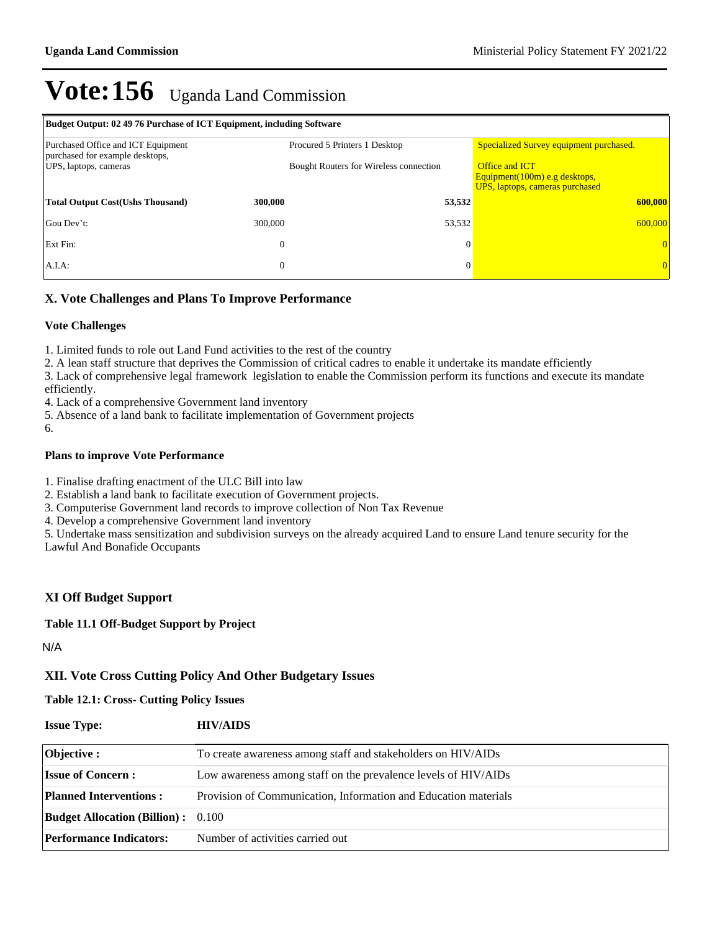| Budget Output: 02 49 76 Purchase of ICT Equipment, including Software                          |                  |                                                                                |                                                                                                                                      |  |  |  |  |
|------------------------------------------------------------------------------------------------|------------------|--------------------------------------------------------------------------------|--------------------------------------------------------------------------------------------------------------------------------------|--|--|--|--|
| Purchased Office and ICT Equipment<br>purchased for example desktops,<br>UPS, laptops, cameras |                  | Procured 5 Printers 1 Desktop<br><b>Bought Routers for Wireless connection</b> | Specialized Survey equipment purchased.<br><b>Office and ICT</b><br>Equipment(100m) e.g desktops,<br>UPS, laptops, cameras purchased |  |  |  |  |
| <b>Total Output Cost (Ushs Thousand)</b>                                                       | 300,000          | 53,532                                                                         | 600,000                                                                                                                              |  |  |  |  |
| Gou Dev't:                                                                                     | 300,000          | 53,532                                                                         | 600,000                                                                                                                              |  |  |  |  |
| Ext Fin:                                                                                       | $\boldsymbol{0}$ | $\Omega$                                                                       |                                                                                                                                      |  |  |  |  |
| $A.I.A$ :                                                                                      | $\mathbf{0}$     | $\theta$                                                                       |                                                                                                                                      |  |  |  |  |

## **X. Vote Challenges and Plans To Improve Performance**

#### **Vote Challenges**

1. Limited funds to role out Land Fund activities to the rest of the country

2. A lean staff structure that deprives the Commission of critical cadres to enable it undertake its mandate efficiently

3. Lack of comprehensive legal framework legislation to enable the Commission perform its functions and execute its mandate efficiently.

4. Lack of a comprehensive Government land inventory

5. Absence of a land bank to facilitate implementation of Government projects

6.

#### **Plans to improve Vote Performance**

1. Finalise drafting enactment of the ULC Bill into law

2. Establish a land bank to facilitate execution of Government projects.

3. Computerise Government land records to improve collection of Non Tax Revenue

4. Develop a comprehensive Government land inventory

5. Undertake mass sensitization and subdivision surveys on the already acquired Land to ensure Land tenure security for the Lawful And Bonafide Occupants

### **XI Off Budget Support**

#### **Table 11.1 Off-Budget Support by Project**

N/A

### **XII. Vote Cross Cutting Policy And Other Budgetary Issues**

#### **Table 12.1: Cross- Cutting Policy Issues**

| <b>Issue Type:</b> | <b>HIV/AIDS</b> |
|--------------------|-----------------|
|                    |                 |

| Objective :                               | To create awareness among staff and stakeholders on HIV/AIDs    |
|-------------------------------------------|-----------------------------------------------------------------|
| <b>Issue of Concern:</b>                  | Low awareness among staff on the prevalence levels of HIV/AIDs  |
| <b>Planned Interventions:</b>             | Provision of Communication, Information and Education materials |
| <b>Budget Allocation (Billion):</b> 0.100 |                                                                 |
| <b>Performance Indicators:</b>            | Number of activities carried out                                |